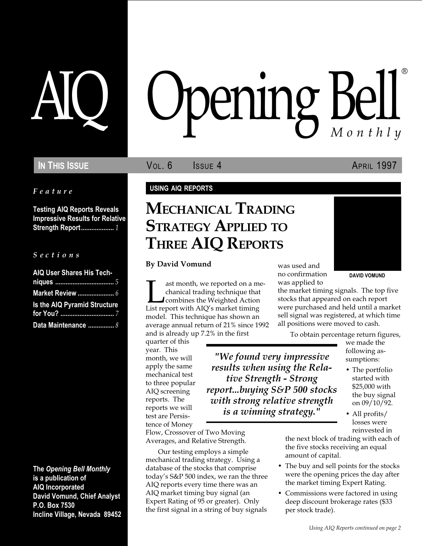Feature

Testing AIQ Reports Reveals Impressive Results for Relative Strength Report................... 1

#### S e c t i o n s

| <b>AIQ User Shares His Tech-</b> |  |
|----------------------------------|--|
|                                  |  |
|                                  |  |
| Is the AIQ Pyramid Structure     |  |
|                                  |  |
| Data Maintenance  8              |  |

The Opening Bell Monthly is a publication of AIQ Incorporated David Vomund, Chief Analyst P.O. Box 7530 Incline Village, Nevada 89452

# pening Bell ®

IN THIS ISSUE **VOL. 6** ISSUE 4 APRIL 1997

#### USING AIQ REPORTS

# MECHANICAL TRADING STRATEGY APPLIED TO THREE AIQ REPORTS

#### By David Vomund

ast month, we reported on a me-<br>chanical trading technique that<br>combines the Weighted Action<br>List report with AIQ's market timing chanical trading technique that combines the Weighted Action model. This technique has shown an average annual return of 21% since 1992 and is already up 7.2% in the first

quarter of this year. This month, we will apply the same mechanical test to three popular AIQ screening reports. The reports we will test are Persistence of Money

Flow, Crossover of Two Moving Averages, and Relative Strength.

Our testing employs a simple mechanical trading strategy. Using a database of the stocks that comprise today's S&P 500 index, we ran the three AIQ reports every time there was an AIQ market timing buy signal (an Expert Rating of 95 or greater). Only the first signal in a string of buy signals

was used and no confirmation was applied to

DAVID VOMUND

the market timing signals. The top five stocks that appeared on each report were purchased and held until a market sell signal was registered, at which time all positions were moved to cash.

To obtain percentage return figures,

"We found very impressive results when using the Relative Strength - Strong report...buying S&P 500 stocks with strong relative strength is a winning strategy."

we made the following assumptions:

- The portfolio started with \$25,000 with the buy signal on 09/10/92.
- All profits/ losses were reinvested in

the next block of trading with each of the five stocks receiving an equal amount of capital.

- The buy and sell points for the stocks were the opening prices the day after the market timing Expert Rating.
- Commissions were factored in using deep discount brokerage rates (\$33 per stock trade).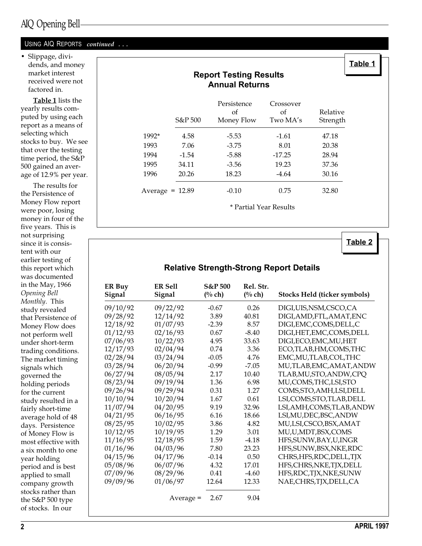#### USING AIQ REPORTS continued ...

 Slippage, dividends, and money market interest received were not factored in.

Table 1 lists the yearly results computed by using each report as a means of selecting which stocks to buy. We see that over the testing time period, the S&P 500 gained an average of 12.9% per year.

The results for the Persistence of Money Flow report were poor, losing money in four of the five years. This is not surprising since it is consistent with our earlier testing of this report which was documented in the May, 1966 Opening Bell Monthly. This study revealed that Persistence of Money Flow does not perform well under short-term trading conditions. The market timing signals which governed the holding periods for the current study resulted in a fairly short-time average hold of 48 days. Persistence of Money Flow is most effective with a six month to one year holding period and is best applied to small company growth stocks rather than the S&P 500 type of stocks. In our

## Report Testing Results Annual Returns Persistence Crossover of of Relative S&P 500 Money Flow Two MA's Strength 1992\* 4.58 -5.53 -1.61 47.18 1993 7.06 -3.75 8.01 20.38 1994 -1.54 -5.88 -17.25 28.94 1995 34.11 -3.56 19.23 37.36 1996 20.26 18.23 -4.64 30.16 Average = 12.89 -0.10 0.75 32.80

\* Partial Year Results

Table 2

Table 1

## Relative Strength-Strong Report Details

| <b>ER Buy</b><br>Signal | <b>ER Sell</b><br>Signal | <b>S&amp;P 500</b><br>$(%$ ch) | Rel. Str.<br>$(\%$ ch) | <b>Stocks Held (ticker symbols)</b> |
|-------------------------|--------------------------|--------------------------------|------------------------|-------------------------------------|
| 09/10/92                | 09/22/92                 | $-0.67$                        | 0.26                   | DIGI,UIS,NSM,CSCO,CA                |
| 09/28/92                | 12/14/92                 | 3.89                           | 40.81                  | DIGI, AMD, FTL, AMAT, ENC           |
| 12/18/92                | 01/07/93                 | $-2.39$                        | 8.57                   | DIGI, EMC, COMS, DELL, C            |
| 01/12/93                | 02/16/93                 | 0.67                           | $-8.40$                | DIGI, HET, EMC, COMS, DELL          |
| 07/06/93                | 10/22/93                 | 4.95                           | 33.63                  | DIGI, ECO, EMC, MU, HET             |
| 12/17/93                | 02/04/94                 | 0.74                           | 3.36                   | ECO,TLAB,HM,COMS,THC                |
| 02/28/94                | 03/24/94                 | $-0.05$                        | 4.76                   | EMC, MU, TLAB, COL, THC             |
| 03/28/94                | 06/20/94                 | $-0.99$                        | $-7.05$                | MU,TLAB,EMC,AMAT,ANDW               |
| 06/27/94                | 08/05/94                 | 2.17                           | 10.40                  | TLAB, MU, STO, ANDW, CPQ            |
| 08/23/94                | 09/19/94                 | 1.36                           | 6.98                   | MU,COMS,THC,LSI,STO                 |
| 09/26/94                | 09/29/94                 | 0.31                           | 1.27                   | COMS, STO, AMH, LSI, DELL           |
| 10/10/94                | 10/20/94                 | 1.67                           | 0.61                   | LSI,COMS,STO,TLAB,DELL              |
| 11/07/94                | 04/20/95                 | 9.19                           | 32.96                  | LSI, AMH, COMS, TLAB, ANDW          |
| 04/21/95                | 06/16/95                 | 6.16                           | 18.66                  | LSI, MU, DEC, BSC, ANDW             |
| 08/25/95                | 10/02/95                 | 3.86                           | 4.82                   | MU,LSI,CSCO,BSX,AMAT                |
| 10/12/95                | 10/19/95                 | 1.29                           | 3.01                   | MU,U,MDT,BSX,COMS                   |
| 11/16/95                | 12/18/95                 | 1.59                           | $-4.18$                | HFS, SUNW, BAY, U, INGR             |
| 01/16/96                | 04/03/96                 | 7.80                           | 23.23                  | HFS, SUNW, BSX, NKE, RDC            |
| 04/15/96                | 04/17/96                 | $-0.14$                        | 0.50                   | CHRS, HFS, RDC, DELL, TJX           |
| 05/08/96                | 06/07/96                 | 4.32                           | 17.01                  | HFS, CHRS, NKE, TJX, DELL           |
| 07/09/96                | 08/29/96                 | 0.41                           | $-4.60$                | HFS, RDC, TJX, NKE, SUNW            |
| 09/09/96                | 01/06/97                 | 12.64                          | 12.33                  | NAE,CHRS,TJX,DELL,CA                |
|                         | Average =                | 2.67                           | 9.04                   |                                     |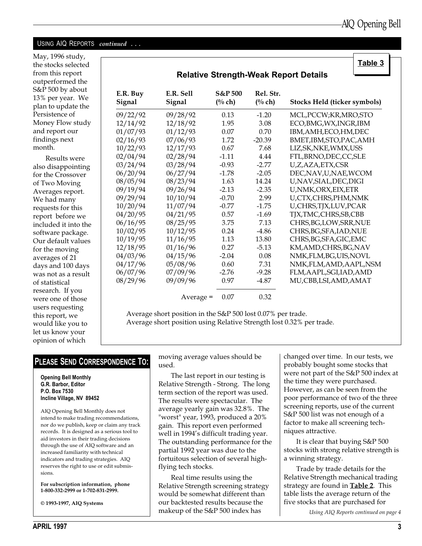Table 3

#### USING AIQ REPORTS continued ...

May, 1996 study, the stocks selected from this report outperformed the S&P 500 by about 13% per year. We plan to update the Persistence of Money Flow study and report our findings next month.

Results were also disappointing for the Crossover of Two Moving Averages report. We had many requests for this report before we included it into the software package. Our default values for the moving averages of 21 days and 100 days was not as a result of statistical research. If you were one of those users requesting this report, we would like you to let us know your opinion of which

| <b>Relative Strength-Weak Report Details</b> |                     |                                 |                     |                              |  |  |
|----------------------------------------------|---------------------|---------------------------------|---------------------|------------------------------|--|--|
| E.R. Buy<br>Signal                           | E.R. Sell<br>Signal | <b>S&amp;P 500</b><br>$(\%$ ch) | Rel. Str.<br>(% ch) | Stocks Held (ticker symbols) |  |  |
| 09/22/92                                     | 09/28/92            | 0.13                            | $-1.20$             | MCL, PCCW; KR, MRO, STO      |  |  |
| 12/14/92                                     | 12/18/92            | 1.95                            | 3.08                | ECO, BMG, WX, INGR, IBM      |  |  |
| 01/07/93                                     | 01/12/93            | 0.07                            | 0.70                | IBM, AMH, ECO, HM, DEC       |  |  |
| 02/16/93                                     | 07/06/93            | 1.72                            | $-20.39$            | BMET, IBM, STO, PAC, AMH     |  |  |
| 10/22/93                                     | 12/17/93            | 0.67                            | 7.68                | LIZ, SK, NKE, WMX, USS       |  |  |
| 02/04/94                                     | 02/28/94            | $-1.11$                         | 4.44                | FTL, BRNO, DEC, CC, SLE      |  |  |
| 03/24/94                                     | 03/28/94            | $-0.93$                         | $-2.77$             | U,Z,AZA,ETX,CSR              |  |  |
| 06/20/94                                     | 06/27/94            | $-1.78$                         | $-2.05$             | DEC, NAV, U, NAE, WCOM       |  |  |
| 08/05/94                                     | 08/23/94            | 1.63                            | 14.24               | U,NAV,SIAL,DEC,DIGI          |  |  |
| 09/19/94                                     | 09/26/94            | $-2.13$                         | $-2.35$             | U, NMK, ORX, EIX, ETR        |  |  |
| 09/29/94                                     | 10/10/94            | $-0.70$                         | 2.99                | U,CTX,CHRS,PHM,NMK           |  |  |
| 10/20/94                                     | 11/07/94            | $-0.77$                         | $-1.75$             | U,CHRS,TJX,LUV,PCAR          |  |  |
| 04/20/95                                     | 04/21/95            | 0.57                            | $-1.69$             | TJX, TMC, CHRS, SB, CBB      |  |  |
| 06/16/95                                     | 08/25/95            | 3.75                            | 7.13                | CHRS, BG, LOW, SRR, NUE      |  |  |
| 10/02/95                                     | 10/12/95            | 0.24                            | $-4.86$             | CHRS, BG, SFA, IAD, NUE      |  |  |
| 10/19/95                                     | 11/16/95            | 1.13                            | 13.80               | CHRS, BG, SFA, GIC, EMC      |  |  |
| 12/18/95                                     | 01/16/96            | 0.27                            | $-5.13$             | KM, AMD, CHRS, BG, NAV       |  |  |
| 04/03/96                                     | 04/15/96            | $-2.04$                         | 0.08                | NMK,FLM,BG,UIS,NOVL          |  |  |
| 04/17/96                                     | 05/08/96            | 0.60                            | 7.31                | NMK,FLM,AMD,AAPL,NSM         |  |  |
| 06/07/96                                     | 07/09/96            | $-2.76$                         | $-9.28$             | FLM, AAPL, SGI, IAD, AMD     |  |  |
| 08/29/96                                     | 09/09/96            | 0.97                            | $-4.87$             | MU,CBB,LSI,AMD,AMAT          |  |  |
|                                              | $Average =$         | 0.07                            | 0.32                |                              |  |  |

Average short position in the S&P 500 lost 0.07% per trade. Average short position using Relative Strength lost 0.32% per trade.

### PLEASE SEND CORRESPONDENCE TO:

Opening Bell Monthly G.R. Barbor, Editor P.O. Box 7530 Incline Village, NV 89452

AIQ Opening Bell Monthly does not intend to make trading recommendations, nor do we publish, keep or claim any track records. It is designed as a serious tool to aid investors in their trading decisions through the use of AIQ software and an increased familiarity with technical indicators and trading strategies. AIQ reserves the right to use or edit submissions.

For subscription information, phone 1-800-332-2999 or 1-702-831-2999.

© 1993-1997, AIQ Systems

moving average values should be used.

The last report in our testing is Relative Strength - Strong. The long term section of the report was used. The results were spectacular. The average yearly gain was 32.8%. The "worst" year, 1993, produced a 20% gain. This report even performed well in 1994's difficult trading year. The outstanding performance for the partial 1992 year was due to the fortuitous selection of several highflying tech stocks.

Real time results using the Relative Strength screening strategy would be somewhat different than our backtested results because the makeup of the S&P 500 index has

changed over time. In our tests, we probably bought some stocks that were not part of the S&P 500 index at the time they were purchased. However, as can be seen from the poor performance of two of the three screening reports, use of the current S&P 500 list was not enough of a factor to make all screening techniques attractive.

It is clear that buying S&P 500 stocks with strong relative strength is a winning strategy.

Trade by trade details for the Relative Strength mechanical trading strategy are found in **Table 2**. This table lists the average return of the five stocks that are purchased for

Using AIQ Reports continued on page 4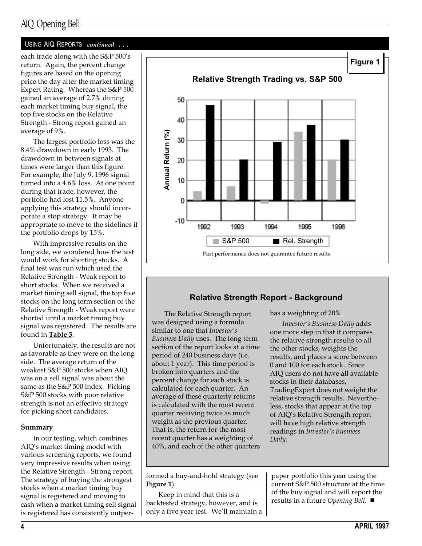# AIQ Opening Bell

#### USING AIQ REPORTS continued ...

each trade along with the S&P 500's return. Again, the percent change figures are based on the opening price the day after the market timing Expert Rating. Whereas the S&P 500 gained an average of 2.7% during each market timing buy signal, the top five stocks on the Relative Strength - Strong report gained an average of 9%.

The largest portfolio loss was the 8.4% drawdown in early 1993. The drawdown in between signals at times were larger than this figure. For example, the July 9, 1996 signal turned into a 4.6% loss. At one point during that trade, however, the portfolio had lost 11.5%. Anyone applying this strategy should incorporate a stop strategy. It may be appropriate to move to the sidelines if the portfolio drops by 15%.

With impressive results on the long side, we wondered how the test would work for shorting stocks. A final test was run which used the Relative Strength - Weak report to short stocks. When we received a market timing sell signal, the top five stocks on the long term section of the Relative Strength - Weak report were shorted until a market timing buy signal was registered. The results are found in Table 3.

Unfortunately, the results are not as favorable as they were on the long side. The average return of the weakest S&P 500 stocks when AIQ was on a sell signal was about the same as the S&P 500 index. Picking S&P 500 stocks with poor relative strength is not an effective strategy for picking short candidates.

#### Summary

In our testing, which combines AIQ's market timing model with various screening reports, we found very impressive results when using the Relative Strength - Strong report. The strategy of buying the strongest stocks when a market timing buy signal is registered and moving to cash when a market timing sell signal is registered has consistently outper-



### Relative Strength Report - Background

The Relative Strength report was designed using a formula similar to one that Investor's Business Daily uses. The long term section of the report looks at a time period of 240 business days (i.e. about 1 year). This time period is broken into quarters and the percent change for each stock is calculated for each quarter. An average of these quarterly returns is calculated with the most recent quarter receiving twice as much weight as the previous quarter. That is, the return for the most recent quarter has a weighting of 40%, and each of the other quarters has a weighting of 20%.

Investor's Business Daily adds one more step in that it compares the relative strength results to all the other stocks, weights the results, and places a score between 0 and 100 for each stock. Since AIQ users do not have all available stocks in their databases, TradingExpert does not weight the relative strength results. Nevertheless, stocks that appear at the top of AIQ's Relative Strength report will have high relative strength readings in Investor's Business Daily.

formed a buy-and-hold strategy (see Figure 1).

Keep in mind that this is a backtested strategy, however, and is only a five year test. We'll maintain a paper portfolio this year using the current S&P 500 structure at the time of the buy signal and will report the results in a future Opening Bell.  $\blacksquare$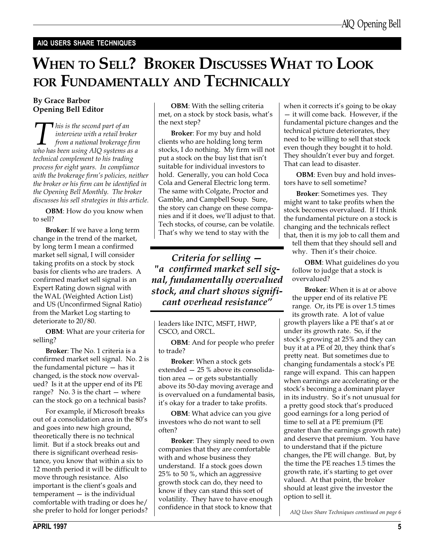#### AIQ USERS SHARE TECHNIQUES

# WHEN TO SELL? BROKER DISCUSSES WHAT TO LOOK FOR FUNDAMENTALLY AND TECHNICALLY

#### By Grace Barbor Opening Bell Editor

This is the second part of an<br>interview with a retail broker<br>from a national brokerage firm<br>who has been using AIQ systems as a interview with a retail broker from a national brokerage firm technical complement to his trading process for eight years. In compliance with the brokerage firm's policies, neither the broker or his firm can be identified in the Opening Bell Monthly. The broker discusses his sell strategies in this article.

OBM: How do you know when to sell?

Broker: If we have a long term change in the trend of the market, by long term I mean a confirmed market sell signal, I will consider taking profits on a stock by stock basis for clients who are traders. A confirmed market sell signal is an Expert Rating down signal with the WAL (Weighted Action List) and US (Unconfirmed Signal Ratio) from the Market Log starting to deteriorate to 20/80.

OBM: What are your criteria for selling?

Broker: The No. 1 criteria is a confirmed market sell signal. No. 2 is the fundamental picture  $-$  has it changed, is the stock now overvalued? Is it at the upper end of its PE range? No.  $3$  is the chart  $-$  where can the stock go on a technical basis?

For example, if Microsoft breaks out of a consolidation area in the 80's and goes into new high ground, theoretically there is no technical limit. But if a stock breaks out and there is significant overhead resistance, you know that within a six to 12 month period it will be difficult to move through resistance. Also important is the client's goals and  $temperature - is$  the individual comfortable with trading or does he/ she prefer to hold for longer periods?

OBM: With the selling criteria met, on a stock by stock basis, what's the next step?

Broker: For my buy and hold clients who are holding long term stocks, I do nothing. My firm will not put a stock on the buy list that isn't suitable for individual investors to hold. Generally, you can hold Coca Cola and General Electric long term. The same with Colgate, Proctor and Gamble, and Campbell Soup. Sure, the story can change on these companies and if it does, we'll adjust to that. Tech stocks, of course, can be volatile. That's why we tend to stay with the

Criteria for selling "a confirmed market sell signal, fundamentally overvalued stock, and chart shows significant overhead resistance

leaders like INTC, MSFT, HWP, CSCO, and ORCL.

OBM: And for people who prefer to trade?

Broker: When a stock gets extended  $-25$  % above its consolidation area  $-$  or gets substantially above its 50-day moving average and is overvalued on a fundamental basis, it's okay for a trader to take profits.

**OBM**: What advice can you give investors who do not want to sell often?

Broker: They simply need to own companies that they are comfortable with and whose business they understand. If a stock goes down 25% to 50 %, which an aggressive growth stock can do, they need to know if they can stand this sort of volatility. They have to have enough confidence in that stock to know that

when it corrects it's going to be okay - it will come back. However, if the fundamental picture changes and the technical picture deteriorates, they need to be willing to sell that stock even though they bought it to hold. They shouldn't ever buy and forget. That can lead to disaster.

OBM: Even buy and hold investors have to sell sometime?

Broker: Sometimes yes. They might want to take profits when the stock becomes overvalued. If I think the fundamental picture on a stock is changing and the technicals reflect that, then it is my job to call them and

tell them that they should sell and why. Then it's their choice.

OBM: What guidelines do you follow to judge that a stock is overvalued?

Broker: When it is at or above the upper end of its relative PE range. Or, its PE is over 1.5 times its growth rate. A lot of value growth players like a PE that's at or under its growth rate. So, if the stock's growing at 25% and they can buy it at a PE of 20, they think that's pretty neat. But sometimes due to changing fundamentals a stock's PE range will expand. This can happen when earnings are accelerating or the stock's becoming a dominant player in its industry. So it's not unusual for a pretty good stock that's produced good earnings for a long period of time to sell at a PE premium (PE greater than the earnings growth rate) and deserve that premium. You have to understand that if the picture changes, the PE will change. But, by the time the PE reaches 1.5 times the growth rate, it's starting to get over valued. At that point, the broker should at least give the investor the option to sell it.

AIQ Uses Share Techniques continued on page 6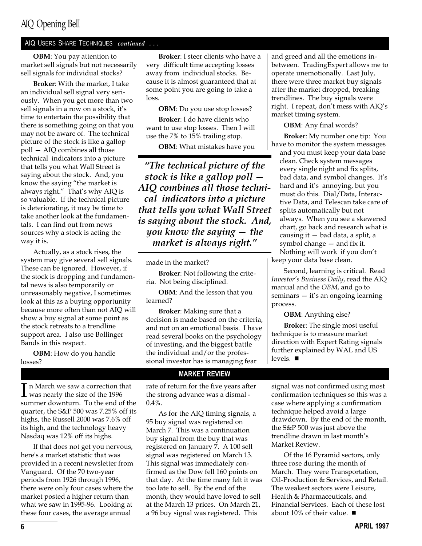#### AIQ USERS SHARE TECHNIQUES continued . . .

OBM: You pay attention to market sell signals but not necessarily sell signals for individual stocks?

Broker: With the market, I take an individual sell signal very seriously. When you get more than two sell signals in a row on a stock, it's time to entertain the possibility that there is something going on that you may not be aware of. The technical picture of the stock is like a gallop poll - AIQ combines all those technical indicators into a picture that tells you what Wall Street is saying about the stock. And, you know the saying "the market is always right." That's why AIQ is so valuable. If the technical picture is deteriorating, it may be time to take another look at the fundamentals. I can find out from news sources why a stock is acting the way it is.

Actually, as a stock rises, the system may give several sell signals. These can be ignored. However, if the stock is dropping and fundamental news is also temporarily or unreasonably negative, I sometimes look at this as a buying opportunity because more often than not AIQ will show a buy signal at some point as the stock retreats to a trendline support area. I also use Bollinger Bands in this respect.

OBM: How do you handle losses?

Broker: I steer clients who have a very difficult time accepting losses away from individual stocks. Because it is almost guaranteed that at some point you are going to take a loss.

OBM: Do you use stop losses?

Broker: I do have clients who want to use stop losses. Then I will use the 7% to 15% trailing stop.

OBM: What mistakes have you

The technical picture of the stock is like a gallop poll AIQ combines all those technical indicators into a picture that tells you what Wall Street is saying about the stock. And, you know the saying  $-$  the market is always right.

made in the market?

Broker: Not following the criteria. Not being disciplined.

OBM: And the lesson that you learned?

Broker: Making sure that a decision is made based on the criteria, and not on an emotional basis. I have read several books on the psychology of investing, and the biggest battle the individual and/or the professional investor has is managing fear

MARKET REVIEW

rate of return for the five years after the strong advance was a dismal -  $0.4\%$ .

As for the AIQ timing signals, a 95 buy signal was registered on March 7. This was a continuation buy signal from the buy that was registered on January 7. A 100 sell signal was registered on March 13. This signal was immediately confirmed as the Dow fell 160 points on that day. At the time many felt it was too late to sell. By the end of the month, they would have loved to sell at the March 13 prices. On March 21, a 96 buy signal was registered. This

and greed and all the emotions inbetween. TradingExpert allows me to operate unemotionally. Last July, there were three market buy signals after the market dropped, breaking trendlines. The buy signals were right. I repeat, don't mess with  $AIQ's$ market timing system.

OBM: Any final words?

Broker: My number one tip: You have to monitor the system messages

and you must keep your data base clean. Check system messages every single night and fix splits, bad data, and symbol changes. It's hard and it's annoying, but you must do this. Dial/Data, Interactive Data, and Telescan take care of splits automatically but not always. When you see a skewered chart, go back and research what is causing it  $-$  bad data, a split, a symbol change  $-$  and fix it. Nothing will work if you don't

keep your data base clean.

Second, learning is critical. Read Investor's Business Daily, read the AIQ manual and the OBM, and go to seminars  $-$  it's an ongoing learning process.

OBM: Anything else?

Broker: The single most useful technique is to measure market direction with Expert Rating signals further explained by WAL and US levels.  $\blacksquare$ 

signal was not confirmed using most confirmation techniques so this was a case where applying a confirmation technique helped avoid a large drawdown. By the end of the month, the S&P 500 was just above the trendline drawn in last month's

Of the 16 Pyramid sectors, only

three rose during the month of March. They were Transportation, Oil-Production & Services, and Retail. The weakest sectors were Leisure, Health & Pharmaceuticals, and Financial Services. Each of these lost

about 10% of their value.  $\blacksquare$ 

Market Review.

 $\prod$  n March we saw a correction that<br>was nearly the size of the 1996 summer downturn. To the end of the quarter, the S&P 500 was 7.25% off its highs, the Russell 2000 was 7.6% off its high, and the technology heavy Nasdaq was 12% off its highs.

If that does not get you nervous, here's a market statistic that was provided in a recent newsletter from Vanguard. Of the 70 two-year periods from 1926 through 1996, there were only four cases where the market posted a higher return than what we saw in 1995-96. Looking at these four cases, the average annual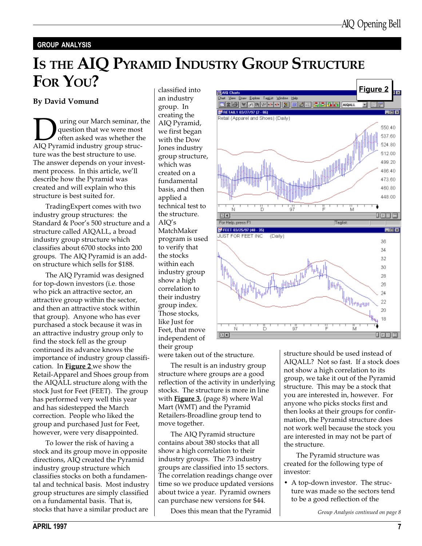#### GROUP ANALYSIS

# IS THE AIQ PYRAMID INDUSTRY GROUP STRUCTURE FOR YOU? classified into

#### By David Vomund

**D** uring our March seminar, the question that we were most often asked was whether the AIQ Pyramid industry group strucquestion that we were most often asked was whether the ture was the best structure to use. The answer depends on your investment process. In this article, we'll describe how the Pyramid was created and will explain who this structure is best suited for.

TradingExpert comes with two industry group structures: the Standard & Poor's 500 structure and a structure called AIQALL, a broad industry group structure which classifies about 6700 stocks into 200 groups. The AIQ Pyramid is an addon structure which sells for \$188.

The AIQ Pyramid was designed for top-down investors (i.e. those who pick an attractive sector, an attractive group within the sector, and then an attractive stock within that group). Anyone who has ever purchased a stock because it was in an attractive industry group only to find the stock fell as the group continued its advance knows the importance of industry group classification. In Figure 2 we show the Retail-Apparel and Shoes group from the AIQALL structure along with the stock Just for Feet (FEET). The group has performed very well this year and has sidestepped the March correction. People who liked the group and purchased Just for Feet, however, were very disappointed.

To lower the risk of having a stock and its group move in opposite directions, AIQ created the Pyramid industry group structure which classifies stocks on both a fundamental and technical basis. Most industry group structures are simply classified on a fundamental basis. That is, stocks that have a similar product are

an industry group. In creating the AIQ Pyramid, we first began with the Dow Jones industry group structure, which was created on a fundamental basis, and then applied a technical test to the structure.  $AIO's$ MatchMaker program is used to verify that the stocks within each industry group show a high correlation to their industry group index. Those stocks, like Just for Feet, that move independent of their group

were taken out of the structure.

The result is an industry group structure where groups are a good reflection of the activity in underlying stocks. The structure is more in line with **Figure 3**, (page 8) where Wal Mart (WMT) and the Pyramid Retailers-Broadline group tend to move together.

The AIQ Pyramid structure contains about 380 stocks that all show a high correlation to their industry groups. The 73 industry groups are classified into 15 sectors. The correlation readings change over time so we produce updated versions about twice a year. Pyramid owners can purchase new versions for \$44.

Does this mean that the Pyramid Group Analysis continued on page 8



structure should be used instead of AIQALL? Not so fast. If a stock does not show a high correlation to its group, we take it out of the Pyramid structure. This may be a stock that you are interested in, however. For anyone who picks stocks first and then looks at their groups for confirmation, the Pyramid structure does not work well because the stock you are interested in may not be part of the structure.

The Pyramid structure was created for the following type of investor:

 A top-down investor. The structure was made so the sectors tend to be a good reflection of the